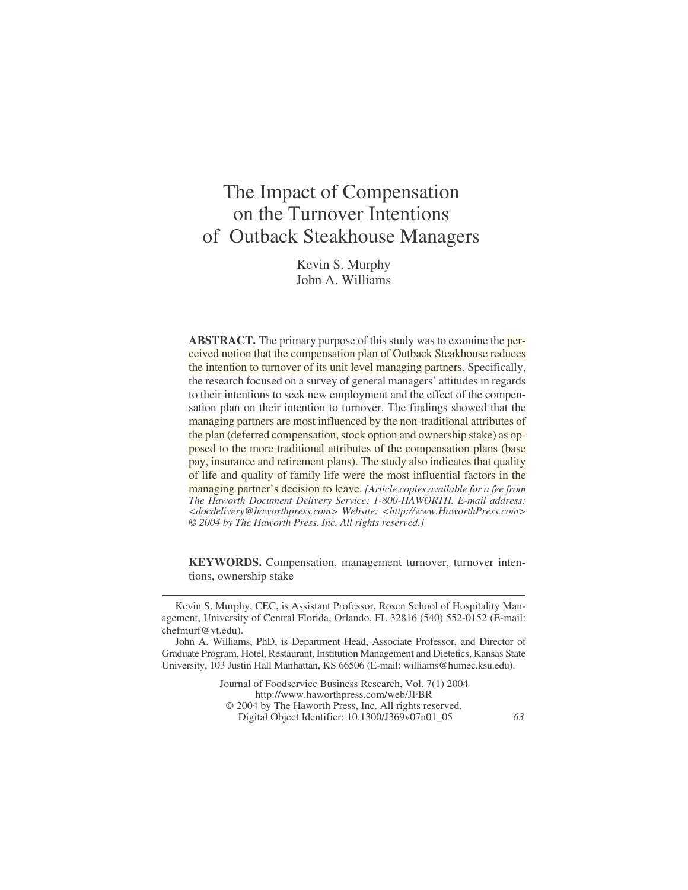# The Impact of Compensation on the Turnover Intentions of Outback Steakhouse Managers

Kevin S. Murphy John A. Williams

**ABSTRACT.** The primary purpose of this study was to examine the perceived notion that the compensation plan of Outback Steakhouse reduces the intention to turnover of its unit level managing partners. Specifically, the research focused on a survey of general managers' attitudes in regards to their intentions to seek new employment and the effect of the compensation plan on their intention to turnover. The findings showed that the managing partners are most influenced by the non-traditional attributes of the plan (deferred compensation, stock option and ownership stake) as opposed to the more traditional attributes of the compensation plans (base pay, insurance and retirement plans). The study also indicates that quality of life and quality of family life were the most influential factors in the managing partner's decision to leave. *[Article copies available for a fee from The Haworth Document Delivery Service: 1-800-HAWORTH. E-mail address: <docdelivery@haworthpress.com> Website: <[http://www.HaworthPress.com>](http://www.HaworthPress.com) © 2004 by The Haworth Press, Inc. All rights reserved.]*

**KEYWORDS.** Compensation, management turnover, turnover intentions, ownership stake

John A. Williams, PhD, is Department Head, Associate Professor, and Director of Graduate Program, Hotel, Restaurant, Institution Management and Dietetics, Kansas State University, 103 Justin Hall Manhattan, KS 66506 (E-mail: williams@humec.ksu.edu).

> Journal of Foodservice Business Research, Vol. 7(1) 2004 <http://www.haworthpress.com/web/JFBR> © 2004 by The Haworth Press, Inc. All rights reserved. Digital Object Identifier: 10.1300/J369v07n01\_05 *63*

Kevin S. Murphy, CEC, is Assistant Professor, Rosen School of Hospitality Management, University of Central Florida, Orlando, FL 32816 (540) 552-0152 (E-mail: chefmurf@vt.edu).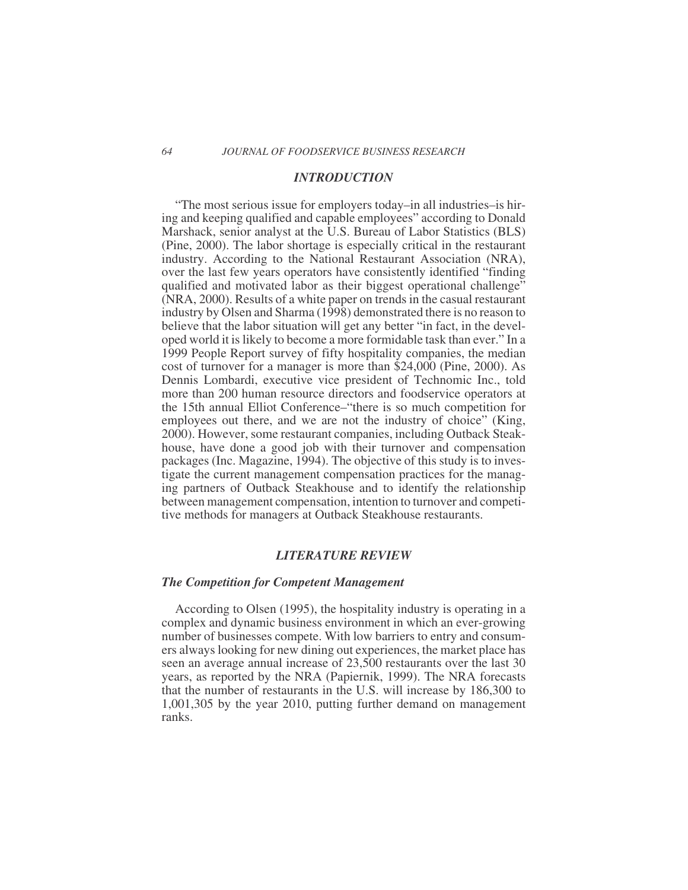## *INTRODUCTION*

"The most serious issue for employers today–in all industries–is hiring and keeping qualified and capable employees" according to Donald Marshack, senior analyst at the U.S. Bureau of Labor Statistics (BLS) (Pine, 2000). The labor shortage is especially critical in the restaurant industry. According to the National Restaurant Association (NRA), over the last few years operators have consistently identified "finding qualified and motivated labor as their biggest operational challenge" (NRA, 2000). Results of a white paper on trends in the casual restaurant industry by Olsen and Sharma (1998) demonstrated there is no reason to believe that the labor situation will get any better "in fact, in the developed world it is likely to become a more formidable task than ever." In a 1999 People Report survey of fifty hospitality companies, the median cost of turnover for a manager is more than \$24,000 (Pine, 2000). As Dennis Lombardi, executive vice president of Technomic Inc., told more than 200 human resource directors and foodservice operators at the 15th annual Elliot Conference–"there is so much competition for employees out there, and we are not the industry of choice" (King, 2000). However, some restaurant companies, including Outback Steakhouse, have done a good job with their turnover and compensation packages (Inc. Magazine, 1994). The objective of this study is to investigate the current management compensation practices for the managing partners of Outback Steakhouse and to identify the relationship between management compensation, intention to turnover and competitive methods for managers at Outback Steakhouse restaurants.

# *LITERATURE REVIEW*

# *The Competition for Competent Management*

According to Olsen (1995), the hospitality industry is operating in a complex and dynamic business environment in which an ever-growing number of businesses compete. With low barriers to entry and consumers always looking for new dining out experiences, the market place has seen an average annual increase of 23,500 restaurants over the last 30 years, as reported by the NRA (Papiernik, 1999). The NRA forecasts that the number of restaurants in the U.S. will increase by 186,300 to 1,001,305 by the year 2010, putting further demand on management ranks.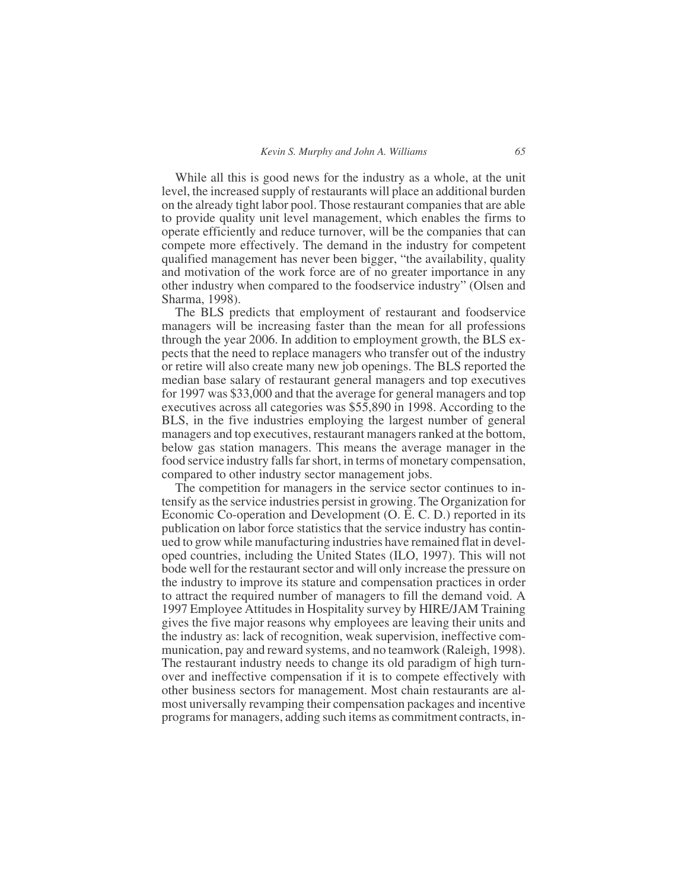While all this is good news for the industry as a whole, at the unit level, the increased supply of restaurants will place an additional burden on the already tight labor pool. Those restaurant companies that are able to provide quality unit level management, which enables the firms to operate efficiently and reduce turnover, will be the companies that can compete more effectively. The demand in the industry for competent qualified management has never been bigger, "the availability, quality and motivation of the work force are of no greater importance in any other industry when compared to the foodservice industry" (Olsen and Sharma, 1998).

The BLS predicts that employment of restaurant and foodservice managers will be increasing faster than the mean for all professions through the year 2006. In addition to employment growth, the BLS expects that the need to replace managers who transfer out of the industry or retire will also create many new job openings. The BLS reported the median base salary of restaurant general managers and top executives for 1997 was \$33,000 and that the average for general managers and top executives across all categories was \$55,890 in 1998. According to the BLS, in the five industries employing the largest number of general managers and top executives, restaurant managers ranked at the bottom, below gas station managers. This means the average manager in the food service industry falls far short, in terms of monetary compensation, compared to other industry sector management jobs.

The competition for managers in the service sector continues to intensify as the service industries persist in growing. The Organization for Economic Co-operation and Development (O. E. C. D.) reported in its publication on labor force statistics that the service industry has continued to grow while manufacturing industries have remained flat in developed countries, including the United States (ILO, 1997). This will not bode well for the restaurant sector and will only increase the pressure on the industry to improve its stature and compensation practices in order to attract the required number of managers to fill the demand void. A 1997 Employee Attitudes in Hospitality survey by HIRE/JAM Training gives the five major reasons why employees are leaving their units and the industry as: lack of recognition, weak supervision, ineffective communication, pay and reward systems, and no teamwork (Raleigh, 1998). The restaurant industry needs to change its old paradigm of high turnover and ineffective compensation if it is to compete effectively with other business sectors for management. Most chain restaurants are almost universally revamping their compensation packages and incentive programs for managers, adding such items as commitment contracts, in-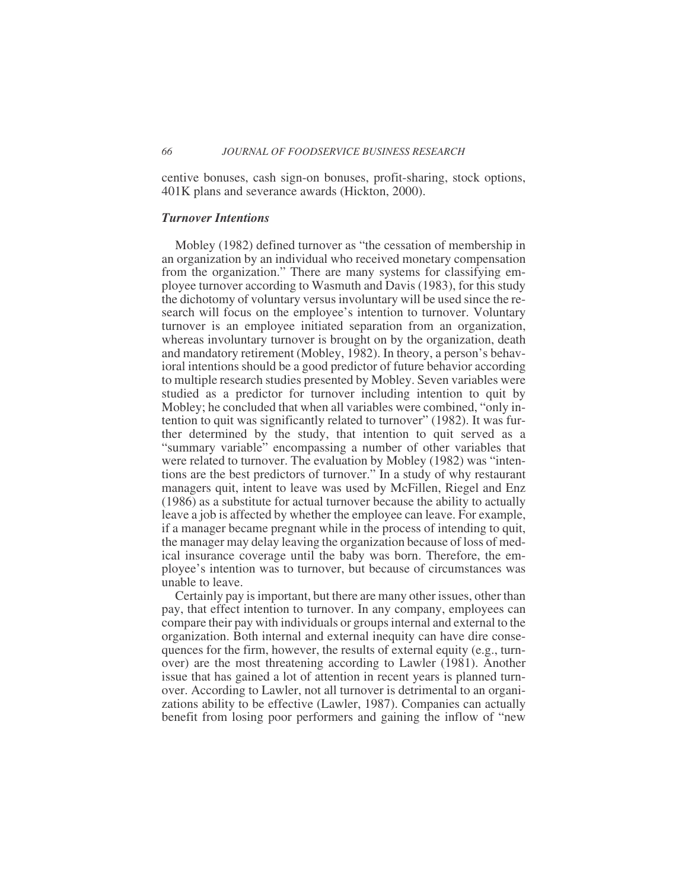centive bonuses, cash sign-on bonuses, profit-sharing, stock options, 401K plans and severance awards (Hickton, 2000).

## *Turnover Intentions*

Mobley (1982) defined turnover as "the cessation of membership in an organization by an individual who received monetary compensation from the organization." There are many systems for classifying employee turnover according to Wasmuth and Davis (1983), for this study the dichotomy of voluntary versus involuntary will be used since the research will focus on the employee's intention to turnover. Voluntary turnover is an employee initiated separation from an organization, whereas involuntary turnover is brought on by the organization, death and mandatory retirement (Mobley, 1982). In theory, a person's behavioral intentions should be a good predictor of future behavior according to multiple research studies presented by Mobley. Seven variables were studied as a predictor for turnover including intention to quit by Mobley; he concluded that when all variables were combined, "only intention to quit was significantly related to turnover" (1982). It was further determined by the study, that intention to quit served as a "summary variable" encompassing a number of other variables that were related to turnover. The evaluation by Mobley (1982) was "intentions are the best predictors of turnover." In a study of why restaurant managers quit, intent to leave was used by McFillen, Riegel and Enz (1986) as a substitute for actual turnover because the ability to actually leave a job is affected by whether the employee can leave. For example, if a manager became pregnant while in the process of intending to quit, the manager may delay leaving the organization because of loss of medical insurance coverage until the baby was born. Therefore, the employee's intention was to turnover, but because of circumstances was unable to leave.

Certainly pay is important, but there are many other issues, other than pay, that effect intention to turnover. In any company, employees can compare their pay with individuals or groups internal and external to the organization. Both internal and external inequity can have dire consequences for the firm, however, the results of external equity (e.g., turnover) are the most threatening according to Lawler (1981). Another issue that has gained a lot of attention in recent years is planned turnover. According to Lawler, not all turnover is detrimental to an organizations ability to be effective (Lawler, 1987). Companies can actually benefit from losing poor performers and gaining the inflow of "new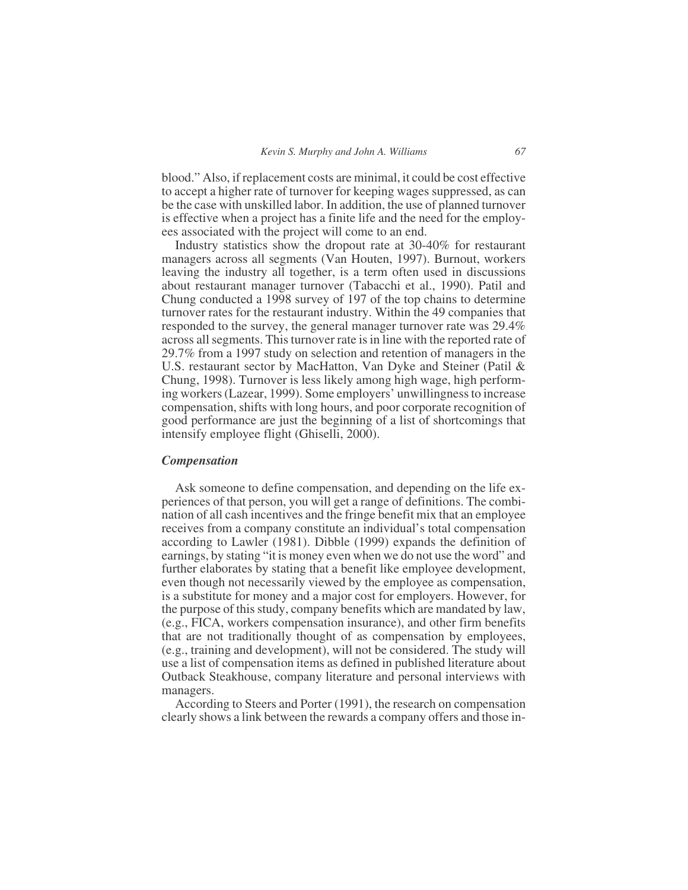blood." Also, if replacement costs are minimal, it could be cost effective to accept a higher rate of turnover for keeping wages suppressed, as can be the case with unskilled labor. In addition, the use of planned turnover is effective when a project has a finite life and the need for the employees associated with the project will come to an end.

Industry statistics show the dropout rate at 30-40% for restaurant managers across all segments (Van Houten, 1997). Burnout, workers leaving the industry all together, is a term often used in discussions about restaurant manager turnover (Tabacchi et al., 1990). Patil and Chung conducted a 1998 survey of 197 of the top chains to determine turnover rates for the restaurant industry. Within the 49 companies that responded to the survey, the general manager turnover rate was 29.4% across all segments. This turnover rate is in line with the reported rate of 29.7% from a 1997 study on selection and retention of managers in the U.S. restaurant sector by MacHatton, Van Dyke and Steiner (Patil & Chung, 1998). Turnover is less likely among high wage, high performing workers (Lazear, 1999). Some employers' unwillingness to increase compensation, shifts with long hours, and poor corporate recognition of good performance are just the beginning of a list of shortcomings that intensify employee flight (Ghiselli, 2000).

# *Compensation*

Ask someone to define compensation, and depending on the life experiences of that person, you will get a range of definitions. The combination of all cash incentives and the fringe benefit mix that an employee receives from a company constitute an individual's total compensation according to Lawler (1981). Dibble (1999) expands the definition of earnings, by stating "it is money even when we do not use the word" and further elaborates by stating that a benefit like employee development, even though not necessarily viewed by the employee as compensation, is a substitute for money and a major cost for employers. However, for the purpose of this study, company benefits which are mandated by law, (e.g., FICA, workers compensation insurance), and other firm benefits that are not traditionally thought of as compensation by employees, (e.g., training and development), will not be considered. The study will use a list of compensation items as defined in published literature about Outback Steakhouse, company literature and personal interviews with managers.

According to Steers and Porter (1991), the research on compensation clearly shows a link between the rewards a company offers and those in-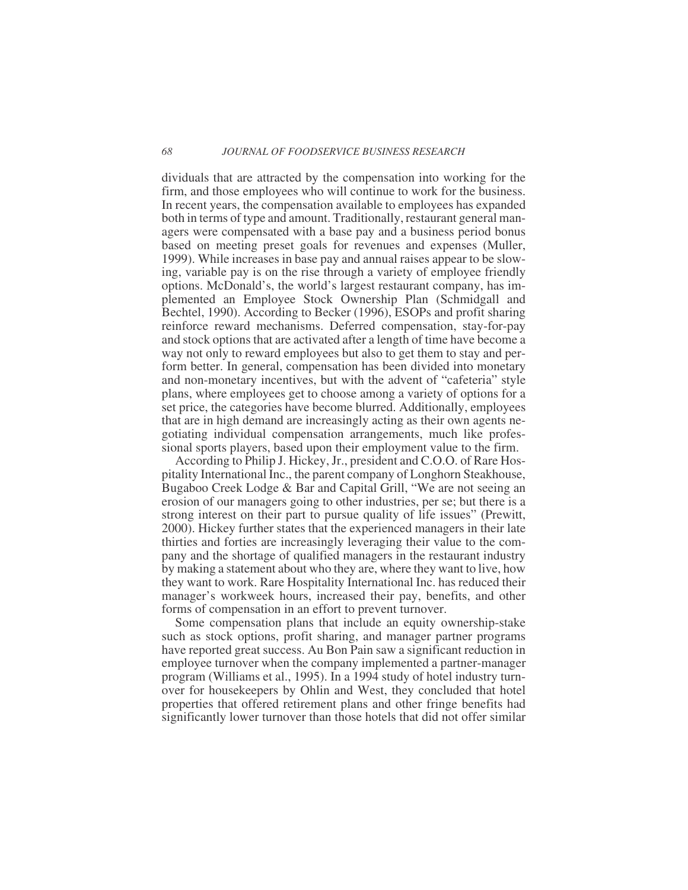dividuals that are attracted by the compensation into working for the firm, and those employees who will continue to work for the business. In recent years, the compensation available to employees has expanded both in terms of type and amount. Traditionally, restaurant general managers were compensated with a base pay and a business period bonus based on meeting preset goals for revenues and expenses (Muller, 1999). While increases in base pay and annual raises appear to be slowing, variable pay is on the rise through a variety of employee friendly options. McDonald's, the world's largest restaurant company, has implemented an Employee Stock Ownership Plan (Schmidgall and Bechtel, 1990). According to Becker (1996), ESOPs and profit sharing reinforce reward mechanisms. Deferred compensation, stay-for-pay and stock options that are activated after a length of time have become a way not only to reward employees but also to get them to stay and perform better. In general, compensation has been divided into monetary and non-monetary incentives, but with the advent of "cafeteria" style plans, where employees get to choose among a variety of options for a set price, the categories have become blurred. Additionally, employees that are in high demand are increasingly acting as their own agents negotiating individual compensation arrangements, much like professional sports players, based upon their employment value to the firm.

According to Philip J. Hickey, Jr., president and C.O.O. of Rare Hospitality International Inc., the parent company of Longhorn Steakhouse, Bugaboo Creek Lodge & Bar and Capital Grill, "We are not seeing an erosion of our managers going to other industries, per se; but there is a strong interest on their part to pursue quality of life issues" (Prewitt, 2000). Hickey further states that the experienced managers in their late thirties and forties are increasingly leveraging their value to the company and the shortage of qualified managers in the restaurant industry by making a statement about who they are, where they want to live, how they want to work. Rare Hospitality International Inc. has reduced their manager's workweek hours, increased their pay, benefits, and other forms of compensation in an effort to prevent turnover.

Some compensation plans that include an equity ownership-stake such as stock options, profit sharing, and manager partner programs have reported great success. Au Bon Pain saw a significant reduction in employee turnover when the company implemented a partner-manager program (Williams et al., 1995). In a 1994 study of hotel industry turnover for housekeepers by Ohlin and West, they concluded that hotel properties that offered retirement plans and other fringe benefits had significantly lower turnover than those hotels that did not offer similar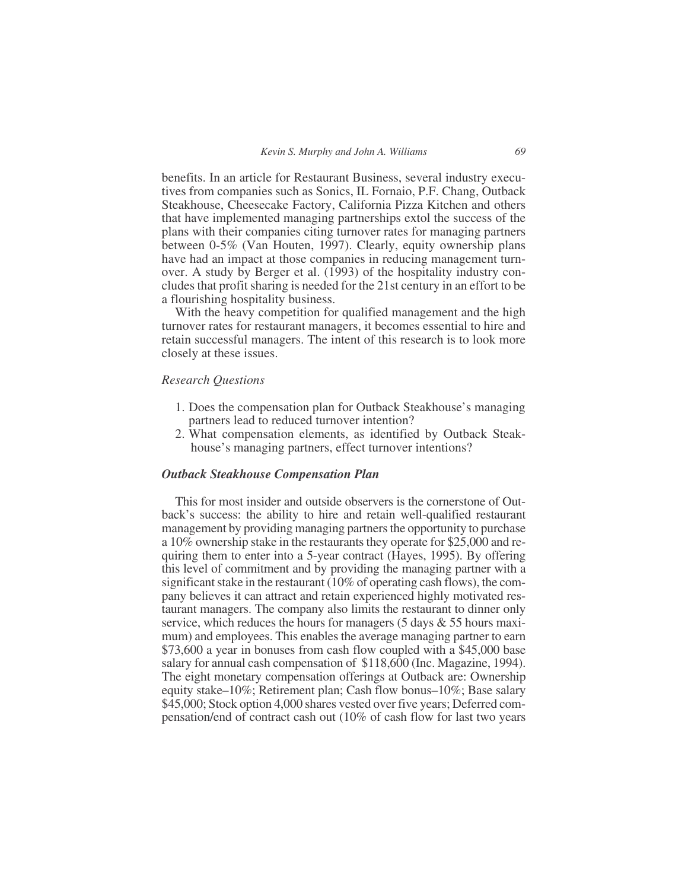benefits. In an article for Restaurant Business, several industry executives from companies such as Sonics, IL Fornaio, P.F. Chang, Outback Steakhouse, Cheesecake Factory, California Pizza Kitchen and others that have implemented managing partnerships extol the success of the plans with their companies citing turnover rates for managing partners between 0-5% (Van Houten, 1997). Clearly, equity ownership plans have had an impact at those companies in reducing management turnover. A study by Berger et al. (1993) of the hospitality industry concludes that profit sharing is needed for the 21st century in an effort to be a flourishing hospitality business.

With the heavy competition for qualified management and the high turnover rates for restaurant managers, it becomes essential to hire and retain successful managers. The intent of this research is to look more closely at these issues.

#### *Research Questions*

- 1. Does the compensation plan for Outback Steakhouse's managing partners lead to reduced turnover intention?
- 2. What compensation elements, as identified by Outback Steakhouse's managing partners, effect turnover intentions?

# *Outback Steakhouse Compensation Plan*

This for most insider and outside observers is the cornerstone of Outback's success: the ability to hire and retain well-qualified restaurant management by providing managing partners the opportunity to purchase a 10% ownership stake in the restaurants they operate for \$25,000 and requiring them to enter into a 5-year contract (Hayes, 1995). By offering this level of commitment and by providing the managing partner with a significant stake in the restaurant (10% of operating cash flows), the company believes it can attract and retain experienced highly motivated restaurant managers. The company also limits the restaurant to dinner only service, which reduces the hours for managers  $(5 \text{ days } \& 55 \text{ hours maxi-}$ mum) and employees. This enables the average managing partner to earn \$73,600 a year in bonuses from cash flow coupled with a \$45,000 base salary for annual cash compensation of \$118,600 (Inc. Magazine, 1994). The eight monetary compensation offerings at Outback are: Ownership equity stake–10%; Retirement plan; Cash flow bonus–10%; Base salary \$45,000; Stock option 4,000 shares vested over five years; Deferred compensation/end of contract cash out (10% of cash flow for last two years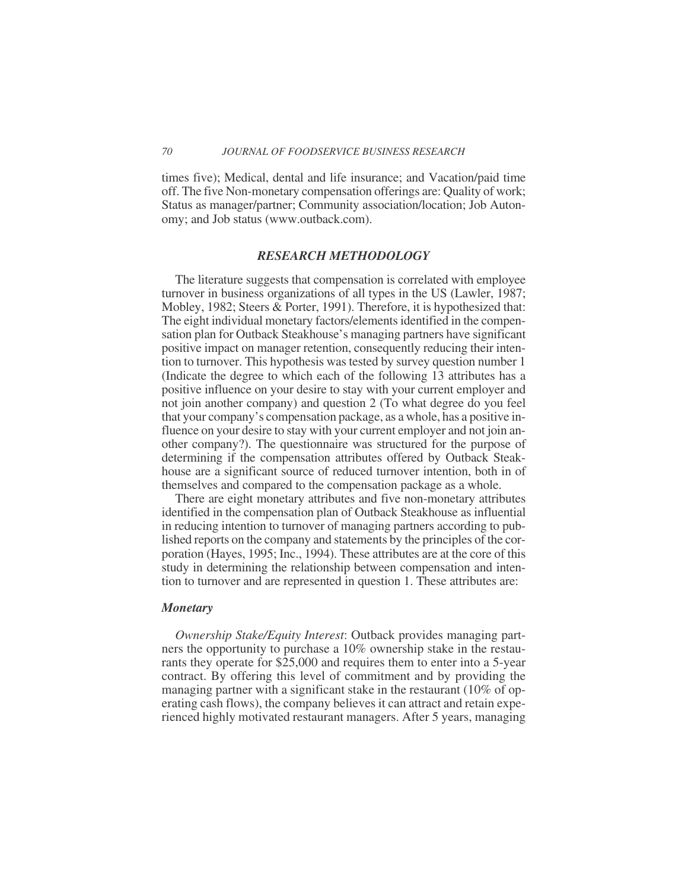times five); Medical, dental and life insurance; and Vacation/paid time off. The five Non-monetary compensation offerings are: Quality of work; Status as manager/partner; Community association/location; Job Autonomy; and Job status (www.outback.com).

# *RESEARCH METHODOLOGY*

The literature suggests that compensation is correlated with employee turnover in business organizations of all types in the US (Lawler, 1987; Mobley, 1982; Steers & Porter, 1991). Therefore, it is hypothesized that: The eight individual monetary factors/elements identified in the compensation plan for Outback Steakhouse's managing partners have significant positive impact on manager retention, consequently reducing their intention to turnover. This hypothesis was tested by survey question number 1 (Indicate the degree to which each of the following 13 attributes has a positive influence on your desire to stay with your current employer and not join another company) and question 2 (To what degree do you feel that your company's compensation package, as a whole, has a positive influence on your desire to stay with your current employer and not join another company?). The questionnaire was structured for the purpose of determining if the compensation attributes offered by Outback Steakhouse are a significant source of reduced turnover intention, both in of themselves and compared to the compensation package as a whole.

There are eight monetary attributes and five non-monetary attributes identified in the compensation plan of Outback Steakhouse as influential in reducing intention to turnover of managing partners according to published reports on the company and statements by the principles of the corporation (Hayes, 1995; Inc., 1994). These attributes are at the core of this study in determining the relationship between compensation and intention to turnover and are represented in question 1. These attributes are:

## *Monetary*

*Ownership Stake/Equity Interest*: Outback provides managing partners the opportunity to purchase a 10% ownership stake in the restaurants they operate for \$25,000 and requires them to enter into a 5-year contract. By offering this level of commitment and by providing the managing partner with a significant stake in the restaurant (10% of operating cash flows), the company believes it can attract and retain experienced highly motivated restaurant managers. After 5 years, managing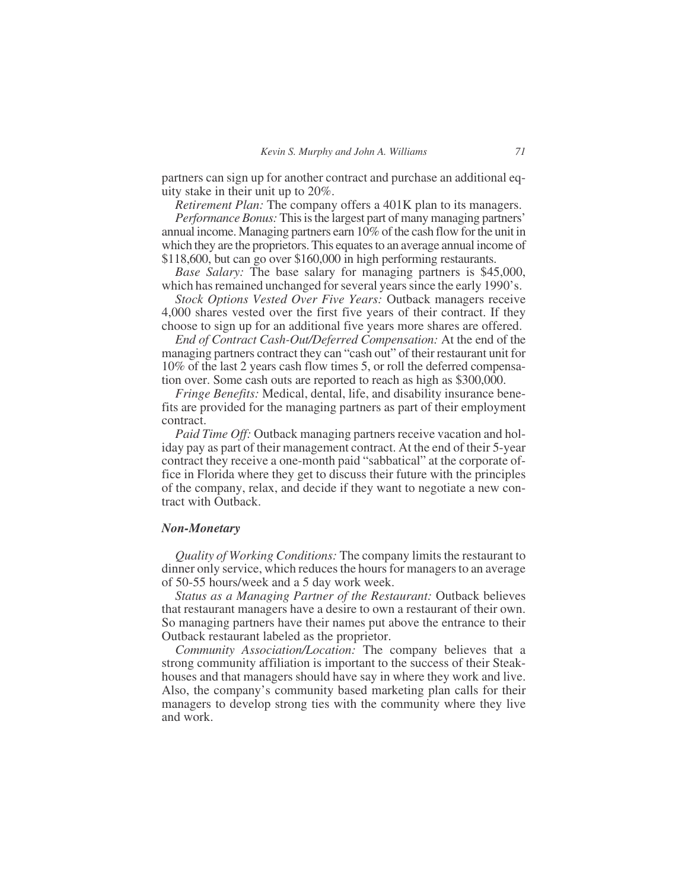partners can sign up for another contract and purchase an additional equity stake in their unit up to 20%.

*Retirement Plan:* The company offers a 401K plan to its managers.

*Performance Bonus:* This is the largest part of many managing partners' annual income. Managing partners earn 10% of the cash flow for the unit in which they are the proprietors. This equates to an average annual income of \$118,600, but can go over \$160,000 in high performing restaurants.

*Base Salary:* The base salary for managing partners is \$45,000, which has remained unchanged for several years since the early 1990's.

*Stock Options Vested Over Five Years:* Outback managers receive 4,000 shares vested over the first five years of their contract. If they choose to sign up for an additional five years more shares are offered.

*End of Contract Cash-Out/Deferred Compensation:* At the end of the managing partners contract they can "cash out" of their restaurant unit for 10% of the last 2 years cash flow times 5, or roll the deferred compensation over. Some cash outs are reported to reach as high as \$300,000.

*Fringe Benefits:* Medical, dental, life, and disability insurance benefits are provided for the managing partners as part of their employment contract.

*Paid Time Off:* Outback managing partners receive vacation and holiday pay as part of their management contract. At the end of their 5-year contract they receive a one-month paid "sabbatical" at the corporate office in Florida where they get to discuss their future with the principles of the company, relax, and decide if they want to negotiate a new contract with Outback.

#### *Non-Monetary*

*Quality of Working Conditions:* The company limits the restaurant to dinner only service, which reduces the hours for managers to an average of 50-55 hours/week and a 5 day work week.

*Status as a Managing Partner of the Restaurant:* Outback believes that restaurant managers have a desire to own a restaurant of their own. So managing partners have their names put above the entrance to their Outback restaurant labeled as the proprietor.

*Community Association/Location:* The company believes that a strong community affiliation is important to the success of their Steakhouses and that managers should have say in where they work and live. Also, the company's community based marketing plan calls for their managers to develop strong ties with the community where they live and work.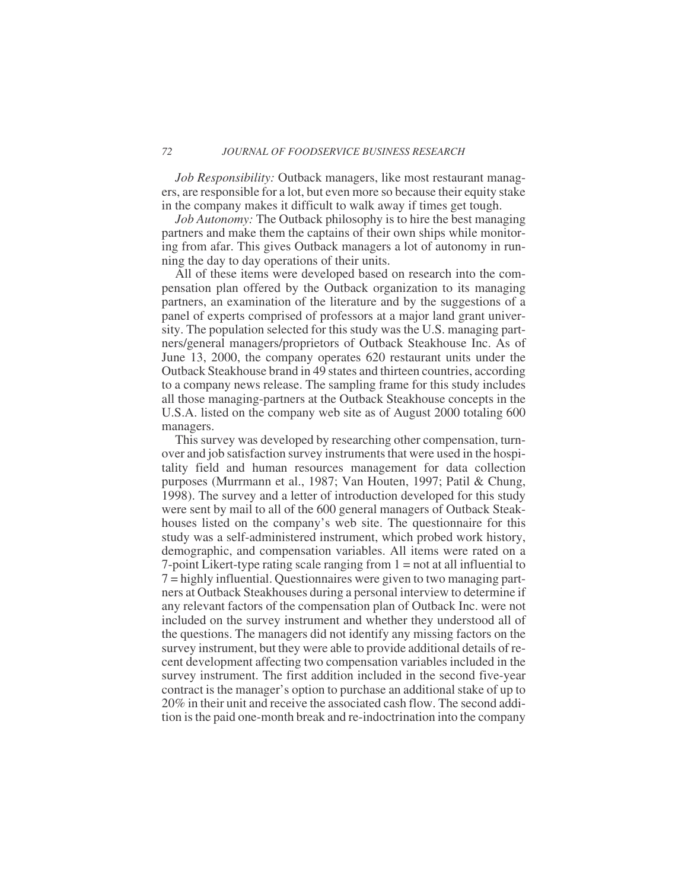*Job Responsibility:* Outback managers, like most restaurant managers, are responsible for a lot, but even more so because their equity stake in the company makes it difficult to walk away if times get tough.

*Job Autonomy:* The Outback philosophy is to hire the best managing partners and make them the captains of their own ships while monitoring from afar. This gives Outback managers a lot of autonomy in running the day to day operations of their units.

All of these items were developed based on research into the compensation plan offered by the Outback organization to its managing partners, an examination of the literature and by the suggestions of a panel of experts comprised of professors at a major land grant university. The population selected for this study was the U.S. managing partners/general managers/proprietors of Outback Steakhouse Inc. As of June 13, 2000, the company operates 620 restaurant units under the Outback Steakhouse brand in 49 states and thirteen countries, according to a company news release. The sampling frame for this study includes all those managing-partners at the Outback Steakhouse concepts in the U.S.A. listed on the company web site as of August 2000 totaling 600 managers.

This survey was developed by researching other compensation, turnover and job satisfaction survey instruments that were used in the hospitality field and human resources management for data collection purposes (Murrmann et al., 1987; Van Houten, 1997; Patil & Chung, 1998). The survey and a letter of introduction developed for this study were sent by mail to all of the 600 general managers of Outback Steakhouses listed on the company's web site. The questionnaire for this study was a self-administered instrument, which probed work history, demographic, and compensation variables. All items were rated on a 7-point Likert-type rating scale ranging from  $1 =$  not at all influential to 7 = highly influential. Questionnaires were given to two managing partners at Outback Steakhouses during a personal interview to determine if any relevant factors of the compensation plan of Outback Inc. were not included on the survey instrument and whether they understood all of the questions. The managers did not identify any missing factors on the survey instrument, but they were able to provide additional details of recent development affecting two compensation variables included in the survey instrument. The first addition included in the second five-year contract is the manager's option to purchase an additional stake of up to 20% in their unit and receive the associated cash flow. The second addition is the paid one-month break and re-indoctrination into the company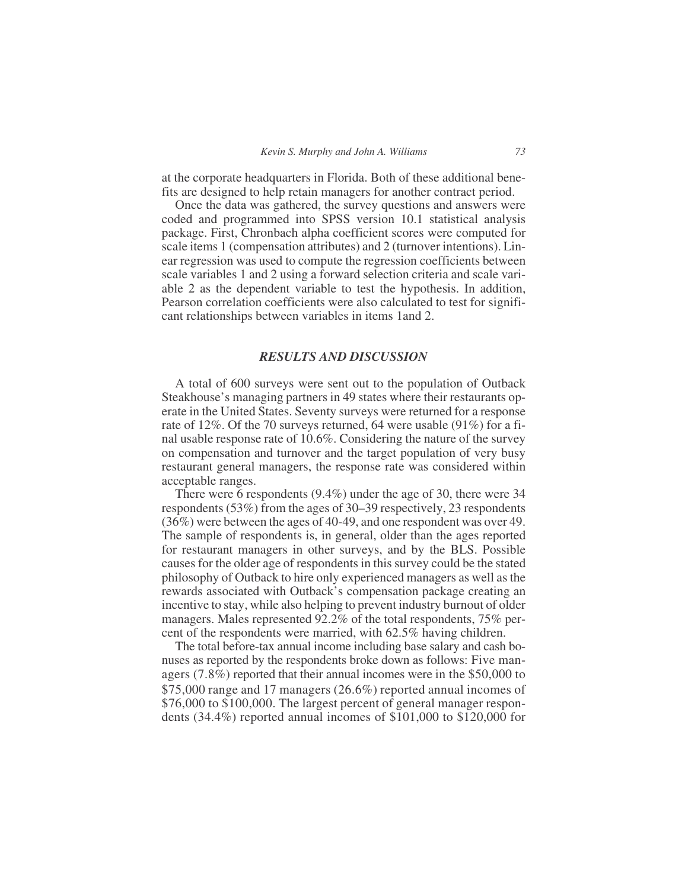at the corporate headquarters in Florida. Both of these additional benefits are designed to help retain managers for another contract period.

Once the data was gathered, the survey questions and answers were coded and programmed into SPSS version 10.1 statistical analysis package. First, Chronbach alpha coefficient scores were computed for scale items 1 (compensation attributes) and 2 (turnover intentions). Linear regression was used to compute the regression coefficients between scale variables 1 and 2 using a forward selection criteria and scale variable 2 as the dependent variable to test the hypothesis. In addition, Pearson correlation coefficients were also calculated to test for significant relationships between variables in items 1and 2.

# *RESULTS AND DISCUSSION*

A total of 600 surveys were sent out to the population of Outback Steakhouse's managing partners in 49 states where their restaurants operate in the United States. Seventy surveys were returned for a response rate of 12%. Of the 70 surveys returned, 64 were usable (91%) for a final usable response rate of 10.6%. Considering the nature of the survey on compensation and turnover and the target population of very busy restaurant general managers, the response rate was considered within acceptable ranges.

There were 6 respondents (9.4%) under the age of 30, there were 34 respondents (53%) from the ages of 30–39 respectively, 23 respondents (36%) were between the ages of 40-49, and one respondent was over 49. The sample of respondents is, in general, older than the ages reported for restaurant managers in other surveys, and by the BLS. Possible causes for the older age of respondents in this survey could be the stated philosophy of Outback to hire only experienced managers as well as the rewards associated with Outback's compensation package creating an incentive to stay, while also helping to prevent industry burnout of older managers. Males represented 92.2% of the total respondents, 75% percent of the respondents were married, with 62.5% having children.

The total before-tax annual income including base salary and cash bonuses as reported by the respondents broke down as follows: Five managers (7.8%) reported that their annual incomes were in the \$50,000 to \$75,000 range and 17 managers (26.6%) reported annual incomes of \$76,000 to \$100,000. The largest percent of general manager respondents (34.4%) reported annual incomes of \$101,000 to \$120,000 for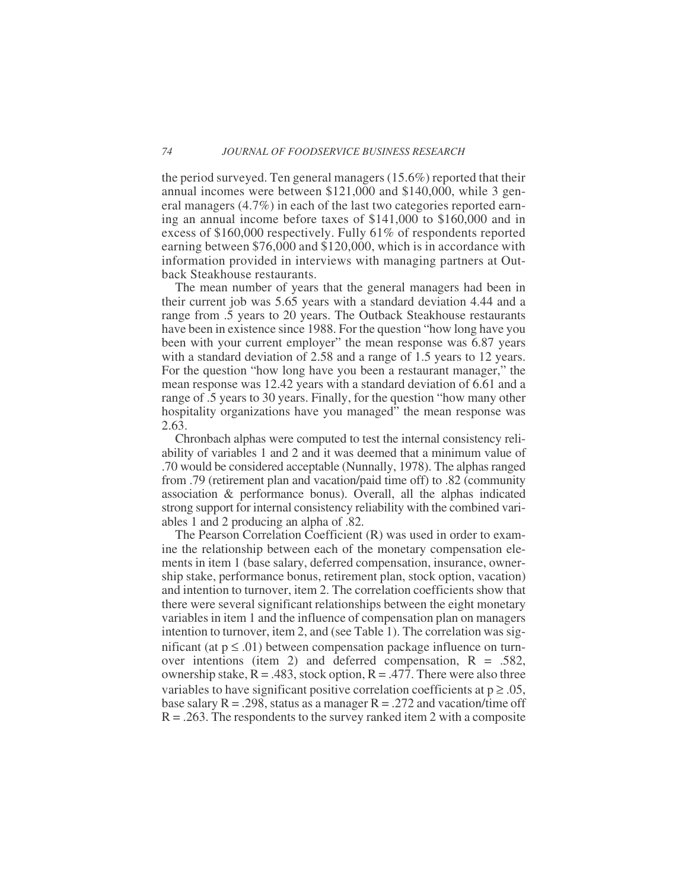the period surveyed. Ten general managers (15.6%) reported that their annual incomes were between \$121,000 and \$140,000, while 3 general managers (4.7%) in each of the last two categories reported earning an annual income before taxes of \$141,000 to \$160,000 and in excess of \$160,000 respectively. Fully 61% of respondents reported earning between \$76,000 and \$120,000, which is in accordance with information provided in interviews with managing partners at Outback Steakhouse restaurants.

The mean number of years that the general managers had been in their current job was 5.65 years with a standard deviation 4.44 and a range from .5 years to 20 years. The Outback Steakhouse restaurants have been in existence since 1988. For the question "how long have you been with your current employer" the mean response was 6.87 years with a standard deviation of 2.58 and a range of 1.5 years to 12 years. For the question "how long have you been a restaurant manager," the mean response was 12.42 years with a standard deviation of 6.61 and a range of .5 years to 30 years. Finally, for the question "how many other hospitality organizations have you managed" the mean response was 2.63.

Chronbach alphas were computed to test the internal consistency reliability of variables 1 and 2 and it was deemed that a minimum value of .70 would be considered acceptable (Nunnally, 1978). The alphas ranged from .79 (retirement plan and vacation/paid time off) to .82 (community association & performance bonus). Overall, all the alphas indicated strong support for internal consistency reliability with the combined variables 1 and 2 producing an alpha of .82.

The Pearson Correlation Coefficient (R) was used in order to examine the relationship between each of the monetary compensation elements in item 1 (base salary, deferred compensation, insurance, ownership stake, performance bonus, retirement plan, stock option, vacation) and intention to turnover, item 2. The correlation coefficients show that there were several significant relationships between the eight monetary variables in item 1 and the influence of compensation plan on managers intention to turnover, item 2, and (see Table 1). The correlation was significant (at  $p \leq .01$ ) between compensation package influence on turnover intentions (item 2) and deferred compensation,  $R = .582$ , ownership stake,  $R = .483$ , stock option,  $R = .477$ . There were also three variables to have significant positive correlation coefficients at  $p \ge 0.05$ , base salary  $R = .298$ , status as a manager  $R = .272$  and vacation/time off  $R = 0.263$ . The respondents to the survey ranked item 2 with a composite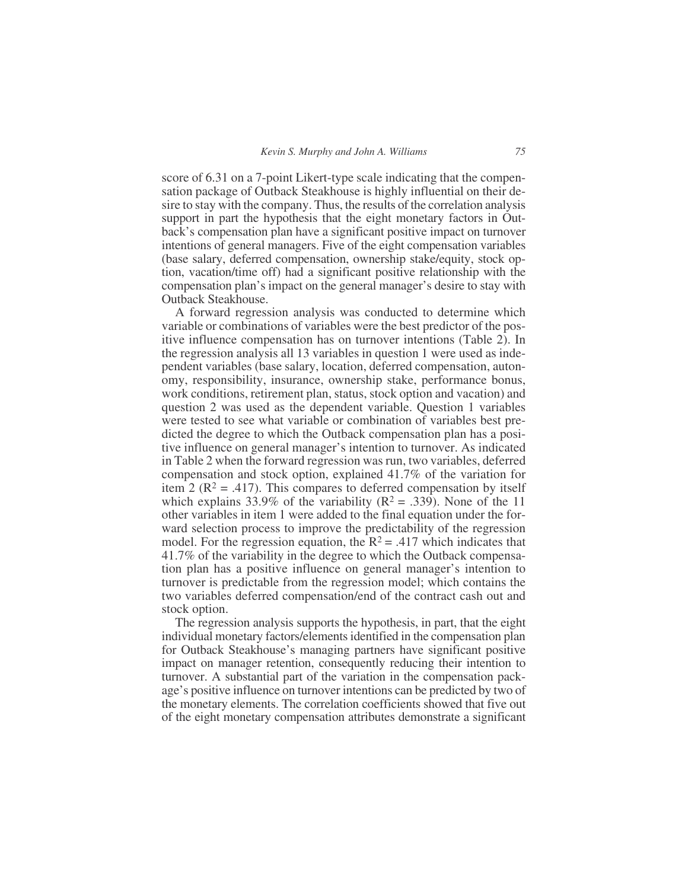score of 6.31 on a 7-point Likert-type scale indicating that the compensation package of Outback Steakhouse is highly influential on their desire to stay with the company. Thus, the results of the correlation analysis support in part the hypothesis that the eight monetary factors in Outback's compensation plan have a significant positive impact on turnover intentions of general managers. Five of the eight compensation variables (base salary, deferred compensation, ownership stake/equity, stock option, vacation/time off) had a significant positive relationship with the compensation plan's impact on the general manager's desire to stay with Outback Steakhouse.

A forward regression analysis was conducted to determine which variable or combinations of variables were the best predictor of the positive influence compensation has on turnover intentions (Table 2). In the regression analysis all 13 variables in question 1 were used as independent variables (base salary, location, deferred compensation, autonomy, responsibility, insurance, ownership stake, performance bonus, work conditions, retirement plan, status, stock option and vacation) and question 2 was used as the dependent variable. Question 1 variables were tested to see what variable or combination of variables best predicted the degree to which the Outback compensation plan has a positive influence on general manager's intention to turnover. As indicated in Table 2 when the forward regression was run, two variables, deferred compensation and stock option, explained 41.7% of the variation for item 2 ( $\mathbb{R}^2$  = .417). This compares to deferred compensation by itself which explains 33.9% of the variability ( $R^2 = .339$ ). None of the 11 other variables in item 1 were added to the final equation under the forward selection process to improve the predictability of the regression model. For the regression equation, the  $R^2 = .417$  which indicates that 41.7% of the variability in the degree to which the Outback compensation plan has a positive influence on general manager's intention to turnover is predictable from the regression model; which contains the two variables deferred compensation/end of the contract cash out and stock option.

The regression analysis supports the hypothesis, in part, that the eight individual monetary factors/elements identified in the compensation plan for Outback Steakhouse's managing partners have significant positive impact on manager retention, consequently reducing their intention to turnover. A substantial part of the variation in the compensation package's positive influence on turnover intentions can be predicted by two of the monetary elements. The correlation coefficients showed that five out of the eight monetary compensation attributes demonstrate a significant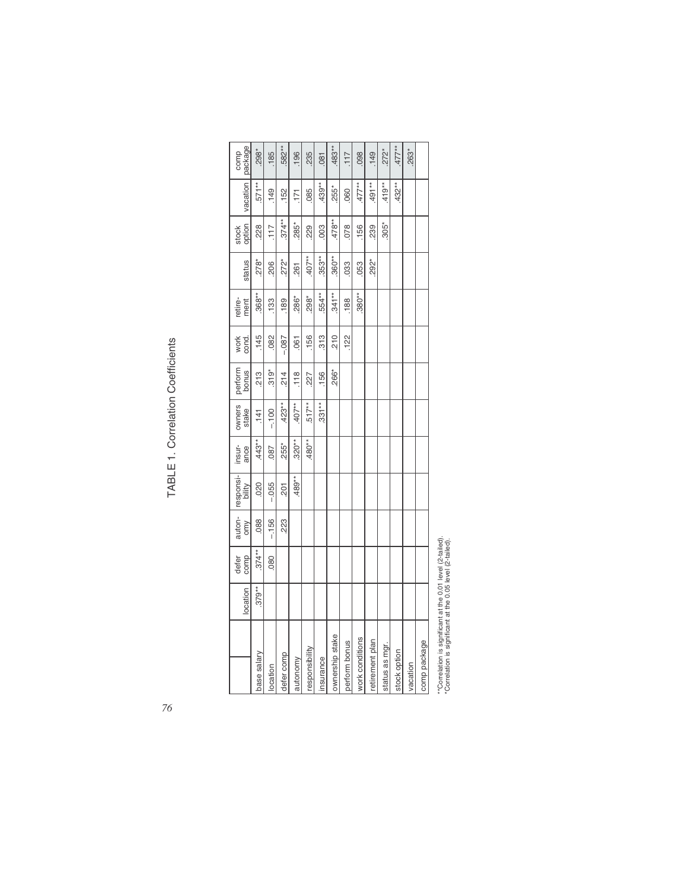| package<br>comp     | $.298*$     | .185     | .582**     | .196     | .235           | .081      | .483**          | 7117          | 098             | .149            | $.272*$       | $477**$      | $.263*$  |              |
|---------------------|-------------|----------|------------|----------|----------------|-----------|-----------------|---------------|-----------------|-----------------|---------------|--------------|----------|--------------|
| vacation            | 571**       | .149     | .152       | .171     | .085           | $.439**$  | $.255*$         | 060           | $477**$         | $491**$         | $.419**$      | 432**        |          |              |
| option<br>stock     | .228        | .117     | $.374***$  | $.285*$  | <b>229</b>     | .003      | $.478**$        | 078           | .156            | 239             | $.305*$       |              |          |              |
| status              | $.278*$     | .206     | $.272*$    | 261      | $.407**$       | $353**$   | $.360**$        | .033          | .053            | 292*            |               |              |          |              |
| retire-<br>ment     | $.368**$    | .133     | .189       | .286*    | $.298*$        | $.554**$  | $.341**$        | .188          | $.380**$        |                 |               |              |          |              |
| cond.<br>work       | .145        | .082     | $-0.087$   | $-061$   | .156           | 313       | .210            | .122          |                 |                 |               |              |          |              |
| perform<br>bonus    | .213        | $.319*$  | .214       | .118     | 227            | .156      | $.266*$         |               |                 |                 |               |              |          |              |
| owners<br>stake     | .141        | $-100$   | $.423**$   | $.407**$ | $.517**$       | $331**$   |                 |               |                 |                 |               |              |          |              |
| insur-<br>ance      | $.443**$    | .087     | $.255*$    | $320**$  | 480**          |           |                 |               |                 |                 |               |              |          |              |
| responsi-<br>bility | .020        | $-0.055$ | <b>201</b> | 489**    |                |           |                 |               |                 |                 |               |              |          |              |
| auton-<br>omy       | .088        | $-156$   | .223       |          |                |           |                 |               |                 |                 |               |              |          |              |
| comp<br>defer       | $.374***$   | .080     |            |          |                |           |                 |               |                 |                 |               |              |          |              |
| location            | $379**$     |          |            |          |                |           |                 |               |                 |                 |               |              |          |              |
|                     | base salary | location | defer comp | autonomy | responsibility | insurance | ownership stake | perform bonus | work conditions | retirement plan | status as mgr | stock option | vacation | comp package |

TABLE 1. Correlation Coefficients TABLE 1. Correlation Coefficients

> \*\*Correlation is significant at the 0.01 level (2-tailed).<br>\*Correlation is significant at the 0.05 level (2-tailed). \*\*Correlation is significant at the 0.01 level (2-tailed). \*Correlation is significant at the 0.05 level (2-tailed).

*76*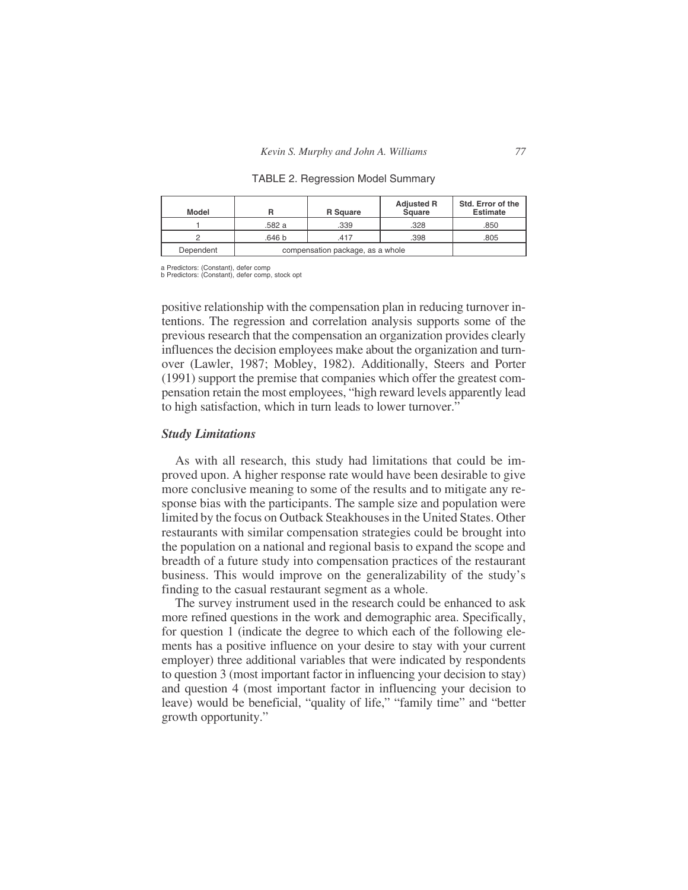| <b>TABLE 2. Regression Model Summary</b> |  |
|------------------------------------------|--|
|                                          |  |

| Model     |                                  | <b>R</b> Square | <b>Adjusted R</b><br>Square | Std. Error of the<br><b>Estimate</b> |
|-----------|----------------------------------|-----------------|-----------------------------|--------------------------------------|
|           | .582 a                           | .339            | .328                        | .850                                 |
|           | .646 b                           | .417            | .398                        | .805                                 |
| Dependent | compensation package, as a whole |                 |                             |                                      |

a Predictors: (Constant), defer comp b Predictors: (Constant), defer comp, stock opt

positive relationship with the compensation plan in reducing turnover intentions. The regression and correlation analysis supports some of the previous research that the compensation an organization provides clearly influences the decision employees make about the organization and turnover (Lawler, 1987; Mobley, 1982). Additionally, Steers and Porter (1991) support the premise that companies which offer the greatest compensation retain the most employees, "high reward levels apparently lead to high satisfaction, which in turn leads to lower turnover."

## *Study Limitations*

As with all research, this study had limitations that could be improved upon. A higher response rate would have been desirable to give more conclusive meaning to some of the results and to mitigate any response bias with the participants. The sample size and population were limited by the focus on Outback Steakhouses in the United States. Other restaurants with similar compensation strategies could be brought into the population on a national and regional basis to expand the scope and breadth of a future study into compensation practices of the restaurant business. This would improve on the generalizability of the study's finding to the casual restaurant segment as a whole.

The survey instrument used in the research could be enhanced to ask more refined questions in the work and demographic area. Specifically, for question 1 (indicate the degree to which each of the following elements has a positive influence on your desire to stay with your current employer) three additional variables that were indicated by respondents to question 3 (most important factor in influencing your decision to stay) and question 4 (most important factor in influencing your decision to leave) would be beneficial, "quality of life," "family time" and "better growth opportunity."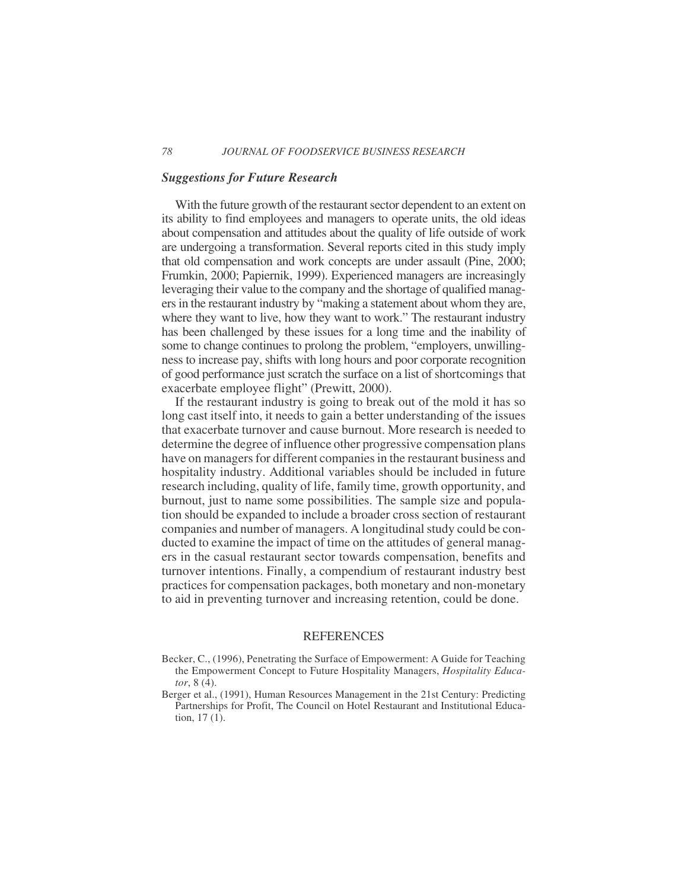# *Suggestions for Future Research*

With the future growth of the restaurant sector dependent to an extent on its ability to find employees and managers to operate units, the old ideas about compensation and attitudes about the quality of life outside of work are undergoing a transformation. Several reports cited in this study imply that old compensation and work concepts are under assault (Pine, 2000; Frumkin, 2000; Papiernik, 1999). Experienced managers are increasingly leveraging their value to the company and the shortage of qualified managers in the restaurant industry by "making a statement about whom they are, where they want to live, how they want to work." The restaurant industry has been challenged by these issues for a long time and the inability of some to change continues to prolong the problem, "employers, unwillingness to increase pay, shifts with long hours and poor corporate recognition of good performance just scratch the surface on a list of shortcomings that exacerbate employee flight" (Prewitt, 2000).

If the restaurant industry is going to break out of the mold it has so long cast itself into, it needs to gain a better understanding of the issues that exacerbate turnover and cause burnout. More research is needed to determine the degree of influence other progressive compensation plans have on managers for different companies in the restaurant business and hospitality industry. Additional variables should be included in future research including, quality of life, family time, growth opportunity, and burnout, just to name some possibilities. The sample size and population should be expanded to include a broader cross section of restaurant companies and number of managers. A longitudinal study could be conducted to examine the impact of time on the attitudes of general managers in the casual restaurant sector towards compensation, benefits and turnover intentions. Finally, a compendium of restaurant industry best practices for compensation packages, both monetary and non-monetary to aid in preventing turnover and increasing retention, could be done.

## REFERENCES

- Becker, C., (1996), Penetrating the Surface of Empowerment: A Guide for Teaching the Empowerment Concept to Future Hospitality Managers, *Hospitality Educator*, 8 (4).
- Berger et al., (1991), Human Resources Management in the 21st Century: Predicting Partnerships for Profit, The Council on Hotel Restaurant and Institutional Education, 17 (1).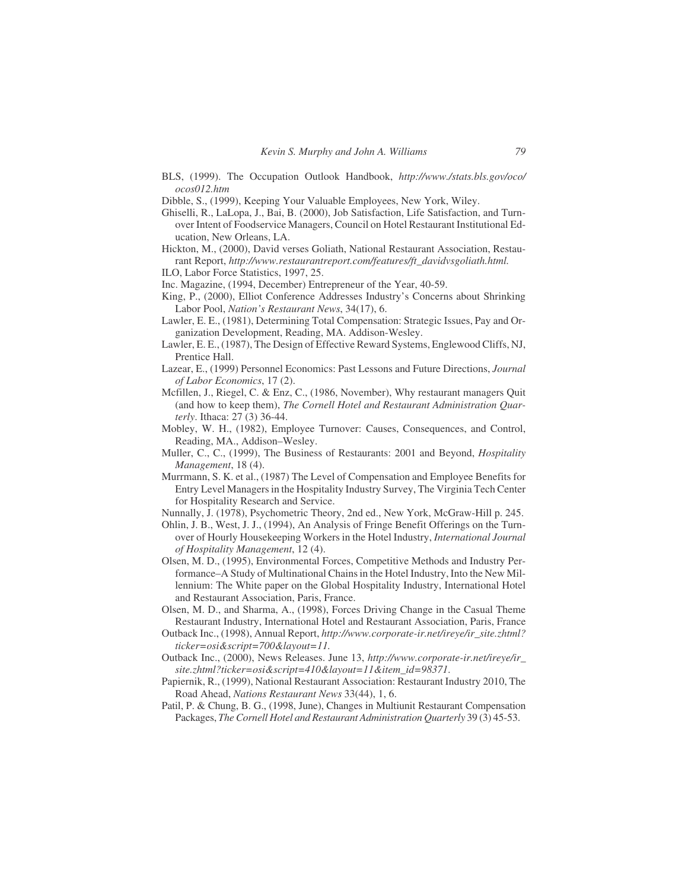BLS, (1999). The Occupation Outlook Handbook, *<http://www./stats.bls.gov/oco/> ocos012.htm*

Dibble, S., (1999), Keeping Your Valuable Employees, New York, Wiley.

- Ghiselli, R., LaLopa, J., Bai, B. (2000), Job Satisfaction, Life Satisfaction, and Turnover Intent of Foodservice Managers, Council on Hotel Restaurant Institutional Education, New Orleans, LA.
- Hickton, M., (2000), David verses Goliath, National Restaurant Association, Restaurant Report, *[http://www.restaurantreport.com/features/ft\\_davidvsgoliath.html](http://www.restaurantreport.com/features/ft_davidvsgoliath.html)*.

ILO, Labor Force Statistics, 1997, 25.

- Inc. Magazine, (1994, December) Entrepreneur of the Year, 40-59.
- King, P., (2000), Elliot Conference Addresses Industry's Concerns about Shrinking Labor Pool, *Nation's Restaurant News*, 34(17), 6.
- Lawler, E. E., (1981), Determining Total Compensation: Strategic Issues, Pay and Organization Development, Reading, MA. Addison-Wesley.
- Lawler, E. E., (1987), The Design of Effective Reward Systems, Englewood Cliffs, NJ, Prentice Hall.
- Lazear, E., (1999) Personnel Economics: Past Lessons and Future Directions, *Journal of Labor Economics*, 17 (2).
- Mcfillen, J., Riegel, C. & Enz, C., (1986, November), Why restaurant managers Quit (and how to keep them), *The Cornell Hotel and Restaurant Administration Quarterly*. Ithaca: 27 (3) 36-44.
- Mobley, W. H., (1982), Employee Turnover: Causes, Consequences, and Control, Reading, MA., Addison–Wesley.
- Muller, C., C., (1999), The Business of Restaurants: 2001 and Beyond, *Hospitality Management*, 18 (4).
- Murrmann, S. K. et al., (1987) The Level of Compensation and Employee Benefits for Entry Level Managers in the Hospitality Industry Survey, The Virginia Tech Center for Hospitality Research and Service.
- Nunnally, J. (1978), Psychometric Theory, 2nd ed., New York, McGraw-Hill p. 245.
- Ohlin, J. B., West, J. J., (1994), An Analysis of Fringe Benefit Offerings on the Turnover of Hourly Housekeeping Workers in the Hotel Industry, *International Journal of Hospitality Management*, 12 (4).
- Olsen, M. D., (1995), Environmental Forces, Competitive Methods and Industry Performance–A Study of Multinational Chains in the Hotel Industry, Into the New Millennium: The White paper on the Global Hospitality Industry, International Hotel and Restaurant Association, Paris, France.
- Olsen, M. D., and Sharma, A., (1998), Forces Driving Change in the Casual Theme Restaurant Industry, International Hotel and Restaurant Association, Paris, France
- Outback Inc., (1998), Annual Report, *[http://www.corporate-ir.net/ireye/ir\\_site.zhtml?](http://www.corporate-ir.net/ireye/ir_site.zhtml?) ticker=osi&script=700&layout=11.*
- Outback Inc., (2000), News Releases. June 13, *[http://www.corporate-ir.net/ireye/ir\\_](http://www.corporate-ir.net/ireye/ir_) site.zhtml?ticker=osi&script=410&layout=11&item\_id=98371*.
- Papiernik, R., (1999), National Restaurant Association: Restaurant Industry 2010, The Road Ahead, *Nations Restaurant News* 33(44), 1, 6.
- Patil, P. & Chung, B. G., (1998, June), Changes in Multiunit Restaurant Compensation Packages, *The Cornell Hotel and Restaurant Administration Quarterly* 39 (3) 45-53.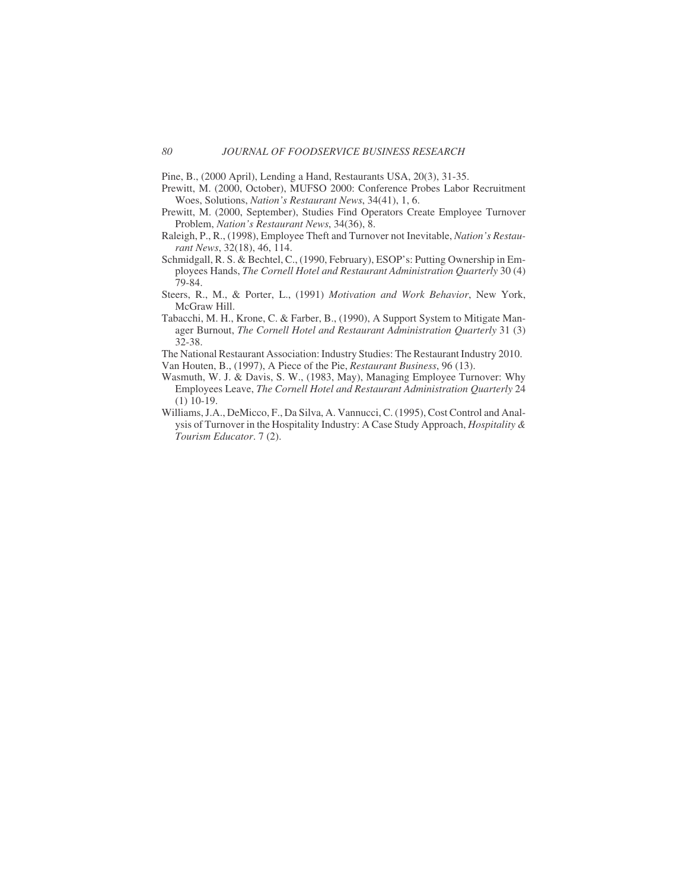Pine, B., (2000 April), Lending a Hand, Restaurants USA, 20(3), 31-35.

- Prewitt, M. (2000, October), MUFSO 2000: Conference Probes Labor Recruitment Woes, Solutions, *Nation's Restaurant News*, 34(41), 1, 6.
- Prewitt, M. (2000, September), Studies Find Operators Create Employee Turnover Problem, *Nation's Restaurant News*, 34(36), 8.
- Raleigh, P., R., (1998), Employee Theft and Turnover not Inevitable, *Nation's Restaurant News*, 32(18), 46, 114.
- Schmidgall, R. S. & Bechtel, C., (1990, February), ESOP's: Putting Ownership in Employees Hands, *The Cornell Hotel and Restaurant Administration Quarterly* 30 (4) 79-84.
- Steers, R., M., & Porter, L., (1991) *Motivation and Work Behavior*, New York, McGraw Hill.
- Tabacchi, M. H., Krone, C. & Farber, B., (1990), A Support System to Mitigate Manager Burnout, *The Cornell Hotel and Restaurant Administration Quarterly* 31 (3) 32-38.
- The National Restaurant Association: Industry Studies: The Restaurant Industry 2010. Van Houten, B., (1997), A Piece of the Pie, *Restaurant Business*, 96 (13).
- Wasmuth, W. J. & Davis, S. W., (1983, May), Managing Employee Turnover: Why Employees Leave, *The Cornell Hotel and Restaurant Administration Quarterly* 24 (1) 10-19.
- Williams, J.A., DeMicco, F., Da Silva, A. Vannucci, C. (1995), Cost Control and Analysis of Turnover in the Hospitality Industry: A Case Study Approach, *Hospitality & Tourism Educator*. 7 (2).